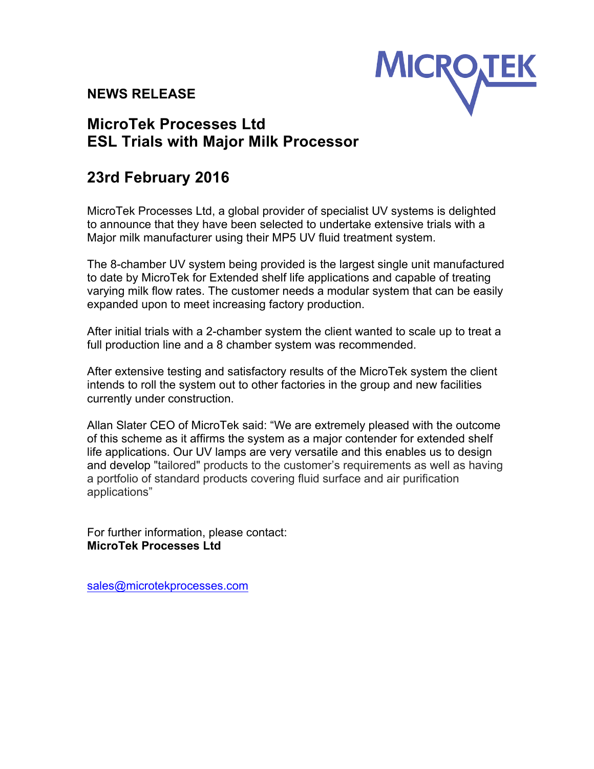## **NEWS RELEASE**



## **MicroTek Processes Ltd ESL Trials with Major Milk Processor**

## **23rd February 2016**

MicroTek Processes Ltd, a global provider of specialist UV systems is delighted to announce that they have been selected to undertake extensive trials with a Major milk manufacturer using their MP5 UV fluid treatment system.

The 8-chamber UV system being provided is the largest single unit manufactured to date by MicroTek for Extended shelf life applications and capable of treating varying milk flow rates. The customer needs a modular system that can be easily expanded upon to meet increasing factory production.

After initial trials with a 2-chamber system the client wanted to scale up to treat a full production line and a 8 chamber system was recommended.

After extensive testing and satisfactory results of the MicroTek system the client intends to roll the system out to other factories in the group and new facilities currently under construction.

Allan Slater CEO of MicroTek said: "We are extremely pleased with the outcome of this scheme as it affirms the system as a major contender for extended shelf life applications. Our UV lamps are very versatile and this enables us to design and develop "tailored" products to the customer's requirements as well as having a portfolio of standard products covering fluid surface and air purification applications"

For further information, please contact: **MicroTek Processes Ltd**

sales@microtekprocesses.com